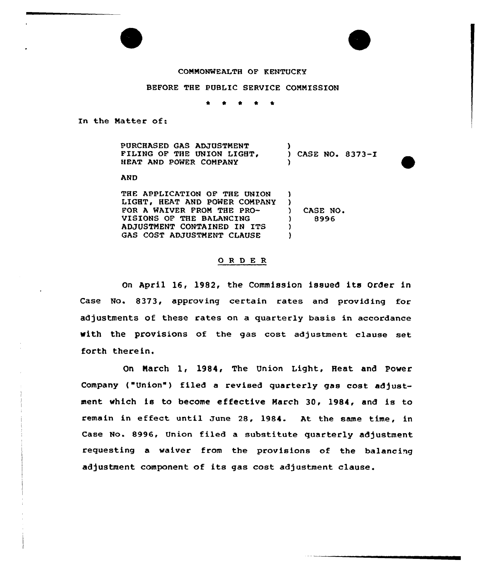# COMMONWEALTH OF KENTUCKY

# BEFORE THE PUBLIC SERVICE COMMISSION

\* <sup>0</sup> \*  $\bullet$  $\bullet$ 

In the Matter of:

PURCHASED GAS ADJUSTMENT FILING OF THE UNION LIGHT, HEAT AND POWER COMPANY )<br>) CASE NO. 8373-I )

) 8996

AND

THE APPLICATION OF THE UNION LIGHT. HEAT AND POWER COMPANY FOR A WAIVER FROM THE PRO-VISIONS OF THE BALANCING ADJUSTMENT CONTAINED IN ITS GAS COST ADJUSTMENT CLAUSE )  $\left\{ \right.$ ) ) CASE NO.<br> $9996$ ) )

### ORDER

On April 16, 1982, the Commission issued its Order in Case No. 8373, approving certain rates and providing for adjustments of these rates on a quarterly basis in accordance with the provisions of the gas cost adjustment clause set forth therein.

On March l, 1984, The Union Light, Heat and Power Company ("Union") filed a revised quarterly gas cost adjustment which is to become effective March 30, 1984, and is to remain in effeet until June 28, 1984. At the same time, in Case No. 8996, Union filed a substitute quarterly adjustment requesting a waiver from the provisions of the balancing adjustment component of its gas cost adjustment clause.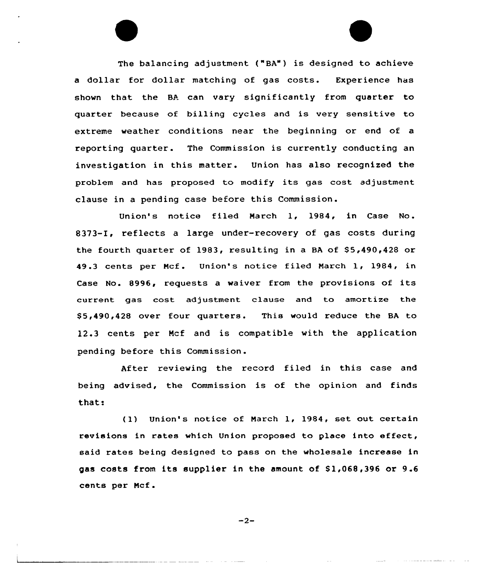The balancing adjustment ("BA") is designed to achieve a dollar for dollar matching of gas costs. Experience has shown that the BA ean vary significantly from quarter to quarter because of billing cycles and is very sensitive to extreme weather conditions near the beginning or end of a reporting quarter. The Commission is currently conducting an investigation in this matter. Union has also recognized the problem and has proposed to modify its gas cost adjustment clause in a pending case before this Commission.

Union's notice filed March 1, 1984, in Case No. 8373-I, reflects a large under-recovery of gas costs during the fourth quarter of 1983, resulting in a BA of \$5,490,428 or 49.3 cents per Ncf. Union's notice filed Narch 1, 1984, in Case No. 8996, requests a waiver from the provisions of its current gas cost adjustment clause and to amortize the \$ 5,490,428 over four quarters. This would reduce the BA to 12.3 cents per Mcf and is compatible with the application pending before this Commission.

After reviewing the record filed in this case and being advised, the Commission is of the opinion and finds that:

(1) Union's notice of Narch 1, 1984, set out certain revisions in rates which Union proposed to place into effeet, said rates being designed to pass on the wholesale increase in gas costs from its supplier in the amount of \$1,068,396 or 9.6 cents per Ncf.

$$
-2-
$$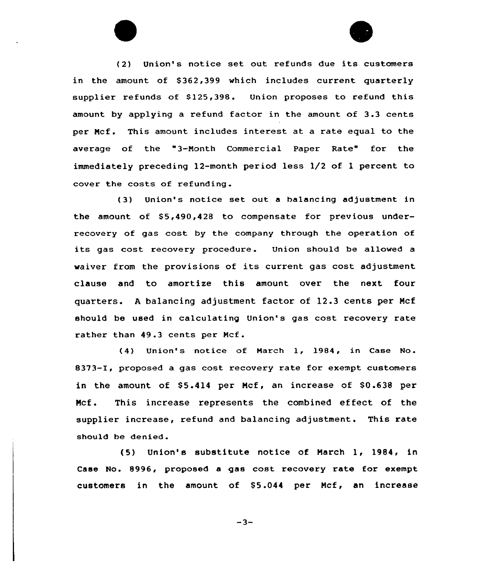(2) Union' notice set out refunds due its customers in the amount of \$362,399 which includes current quarterly supplier refunds of  $$125,398$ . Union proposes to refund this amount by applying a refund factor in the amount of 3.3 cents per Ncf. This amount includes interest at a rate equal to the average of the "3-Nonth Commercial Paper Rate" for the immediately preceding 12-month period less 1/2 of <sup>1</sup> percent to cover the costs of refunding.

(3) Union's notice set out a halancing adjustment in the amount of  $$5,490,428$  to compensate for previous underrecovery of gas cost by the company through the operation of its gas cost recovery procedure. Union should be allowed a waiver from the provisions of its current gas cost adjustment clause and to amortize this amount over the next four quarters. <sup>A</sup> balancing adjustment factor of 12.3 cents per Mcf should be used in calculating Union's gas cost recovery rate rather than 49.3 cents per Ncf.

(4) Union's notice of March 1, 1984, in Case No. 8373-I, proposed a gas cost recovery rate for exempt customers in the amount of  $$5.414$  per Mcf, an increase of  $$0.638$  per Ncf. This increase represents the combined effect of the supplier increase, refund and balancing adjustment. This rate should be denied.

(5) Union' substitute notice of March 1, 1984, in Case No. 8996, proposed a gas cost recovery rate for exempt customers in the amount of \$5.044 per Mcf, an increase

 $-3-$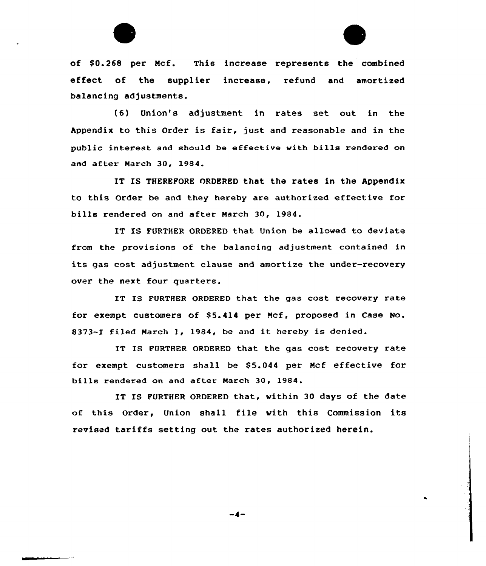

of \$0.268 per Mcf. This increase represents the combined effect of the supplier increase, refund and amortized balancing adjustments.

(6) Union's adjustment in rates set out in the Appendix to this Order is fair, just and reasonable and in the public interest and should be effective with bills rendered on and after Narch 30, 1984.

IT IS THEREFORE ORDERED that the rates in the Appendix to this Order be and they hereby are authorized effective for bills rendered on and after March 30, 1984.

IT IS FURTHER ORDERED that Union be allowed to deviate from the provisions af the balancing adjustment contained in its gas cost adjustment clause and amortize the under-recovery over the next four quarters.

IT IS FURTHER ORDERED that the gas cost recovery rate for exempt customers of 85.414 per Ncf, proposed in Case No. 8373-1 filed Narch 1, 1984, be and it hereby is denied.

IT IS FURTHER ORDERED that the gas cost recovery rate for exempt customers shall be \$5.044 per Mcf effective for bills rendered on and after Narch 30, 1984.

IT IS FURTHER ORDERED that, within 30 days of the date of this Order, Union shall file with this Commission its revised tariffs setting out the rates authorized herein.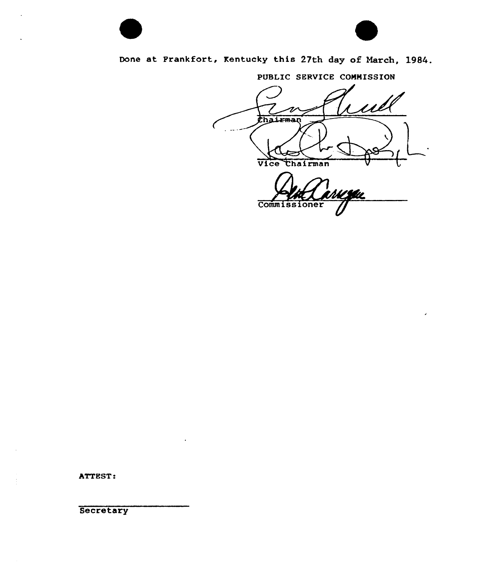

Done at Frankfort, Kentucky this 27th day of March, 1984.

PUBLIC SERVICE COHNISSION

<u>1 1 l</u> Chairman Vice Chairman MISAL **Commissioner** 

ATTEST:

**Secretary**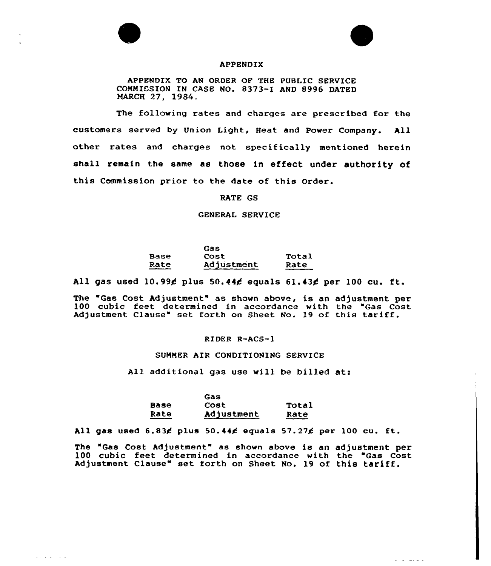

 $\alpha$  , and  $\alpha$  , and  $\alpha$  , and  $\alpha$ 



# APPENDIX

APPENDIX TO AN ORDER OP THE PUBLIC SERVICE COMMISSION IN CASE NO. 8373-I AND 8996 DATED MARCH 27, 1984.

The following rates and charges are prescribed for the customers served by Union Light, Heat and Power Company. All other rates and charges not specifically mentioned herein shall remain the same as those in effect under authority of this Commission prior to the date of this Order.

# RATE GS

#### GENERAL SERVICE

|      | Gas        |       |
|------|------------|-------|
| Base | Cost       | Total |
| Rate | Adjustment | Rate  |

All gas used  $10.99$  $6$  plus 50.44 $6$  equals 61.43 $6$  per 100 cu. ft.

The "Gas Cost Adjustment" as shown above, is an adjustment per 100 cubic feet determined in accordance with the "Gas Cost Adjustment Clause" set forth on Sheet No. 19 of this tariff.

#### RIDER R-ACS-1

# SUMMER AIR CONDITIONING SERVICE

All additional gas use will be billed at:

| Cost       | <b>Total</b> |
|------------|--------------|
| Adjustment | Rate         |
|            |              |

All gas used  $6.83$  $6$  plus  $50.44$  $6$  equals  $57.27$  $6$  per 100 cu. ft.

The "Gas Cost Adjustment" as shown above is an adjustment per 100 cubic feet determined in accordance with the Gas Cost Adjustment Clause" set forth on Sheet No. 19 of this tariff.